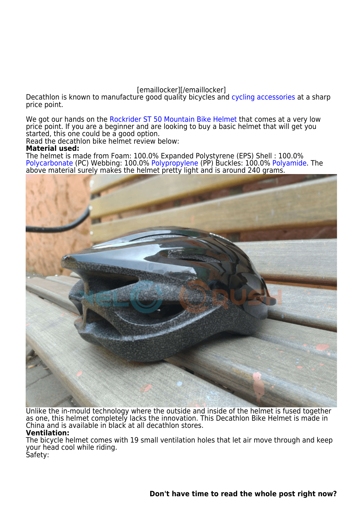## [emaillocker][/emaillocker]

Decathlon is known to manufacture good quality bicycles and [cycling accessories](https://velocrushindia.com/cycle-accessories) at a sharp price point.

We got our hands on the [Rockrider ST 50 Mountain Bike Helmet](https://www.decathlon.in/p/8519881_rockrider-st-50-mountain-bike-helmet-black.html#/15-200-l) that comes at a very low price point. If you are a beginner and are looking to buy a basic helmet that will get you started, this one could be a good option.

Read the decathlon bike helmet review below:

## **Material used:**

The helmet is made from Foam: 100.0% Expanded Polystyrene (EPS) Shell : 100.0% [Polycarbonate](https://en.wikipedia.org/wiki/Polycarbonate) (PC) Webbing: 100.0% [Polypropylene](https://en.wikipedia.org/wiki/Polypropylene) (PP) Buckles: 100.0% [Polyamide](https://en.wikipedia.org/wiki/Polyamide). The above material surely makes the helmet pretty light and is around 240 grams.



Unlike the in-mould technology where the outside and inside of the helmet is fused together as one, this helmet completely lacks the innovation. This Decathlon Bike Helmet is made in China and is available in black at all decathlon stores. **Ventilation:**

The bicycle helmet comes with 19 small ventilation holes that let air move through and keep your head cool while riding. Safety: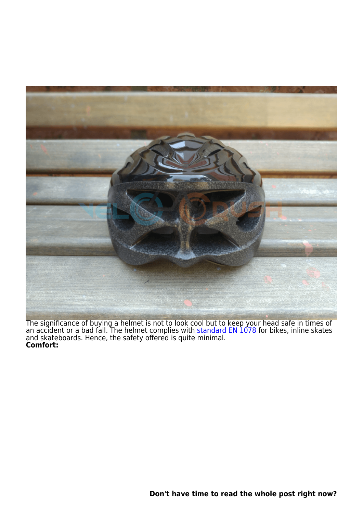

The significance of buying a helmet is not to look cool but to keep your head safe in times of an accident or a bad fall. The helmet complies with [standard EN 1078](https://en.wikipedia.org/wiki/EN_1078) for bikes, inline skates and skateboards. Hence, the safety offered is quite minimal. **Comfort:**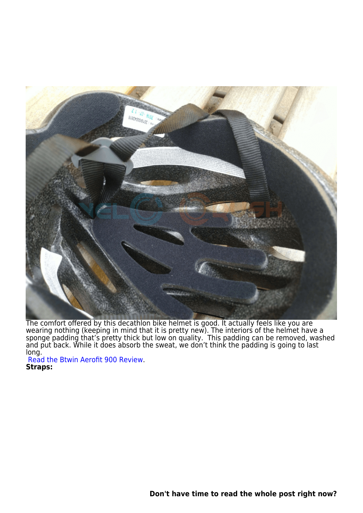

The comfort offered by this decathlon bike helmet is good. It actually feels like you are wearing nothing (keeping in mind that it is pretty new). The interiors of the helmet have a sponge padding that's pretty thick but low on quality. This padding can be removed, washed and put back. While it does absorb the sweat, we don't think the padding is going to last long.

[Read the Btwin Aerofit 900 Review](https://velocrushindia.com/decathlon-btwin-bicycle-helmet-review/). **Straps:**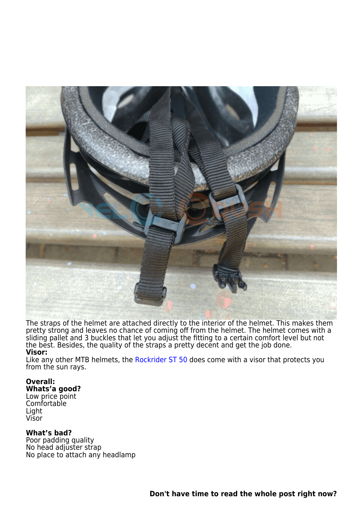

The straps of the helmet are attached directly to the interior of the helmet. This makes them pretty strong and leaves no chance of coming off from the helmet. The helmet comes with a sliding pallet and 3 buckles that let you adjust the fitting to a certain comfort level but not the best. Besides, the quality of the straps a pretty decent and get the job done. **Visor:**

Like any other MTB helmets, the [Rockrider ST 50](https://www.decathlon.in/p/8519881_rockrider-st-50-mountain-bike-helmet-black.html#/15-200-l) does come with a visor that protects you from the sun rays.

## **Overall:**

**Whats'a good?** Low price point Comfortable Light Visor

## **What's bad?**

Poor padding quality No head adjuster strap No place to attach any headlamp